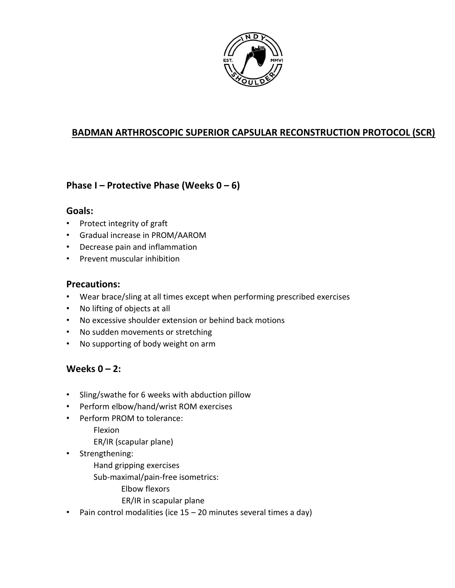

### **BADMAN ARTHROSCOPIC SUPERIOR CAPSULAR RECONSTRUCTION PROTOCOL (SCR)**

### **Phase I – Protective Phase (Weeks 0 – 6)**

#### **Goals:**

- Protect integrity of graft
- Gradual increase in PROM/AAROM
- Decrease pain and inflammation
- Prevent muscular inhibition

#### **Precautions:**

- Wear brace/sling at all times except when performing prescribed exercises
- No lifting of objects at all
- No excessive shoulder extension or behind back motions
- No sudden movements or stretching
- No supporting of body weight on arm

### **Weeks 0 – 2:**

- Sling/swathe for 6 weeks with abduction pillow
- Perform elbow/hand/wrist ROM exercises
- Perform PROM to tolerance:
	- Flexion
	- ER/IR (scapular plane)
- Strengthening:
	- Hand gripping exercises
	- Sub-maximal/pain-free isometrics:
		- Elbow flexors
		- ER/IR in scapular plane
- Pain control modalities (ice 15 20 minutes several times a day)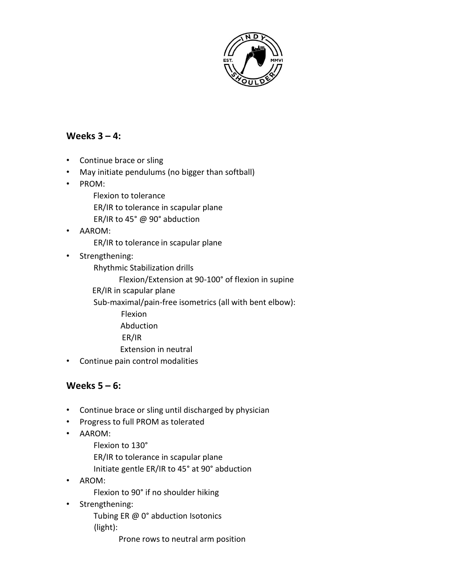

### **Weeks 3 – 4:**

- Continue brace or sling
- May initiate pendulums (no bigger than softball)
- PROM:
	- Flexion to tolerance
	- ER/IR to tolerance in scapular plane
	- ER/IR to 45° @ 90° abduction
- AAROM:
	- ER/IR to tolerance in scapular plane
- Strengthening:
	- Rhythmic Stabilization drills
		- Flexion/Extension at 90-100° of flexion in supine
	- ER/IR in scapular plane
	- Sub-maximal/pain-free isometrics (all with bent elbow):
		- Flexion
			- Abduction
			- ER/IR
			- Extension in neutral
- Continue pain control modalities

#### **Weeks 5 – 6:**

- Continue brace or sling until discharged by physician
- Progress to full PROM as tolerated
- AAROM:
	- Flexion to 130°
	- ER/IR to tolerance in scapular plane
	- Initiate gentle ER/IR to 45° at 90° abduction
- AROM:
	- Flexion to 90° if no shoulder hiking
- Strengthening:
	- Tubing ER @ 0° abduction Isotonics (light):
		- Prone rows to neutral arm position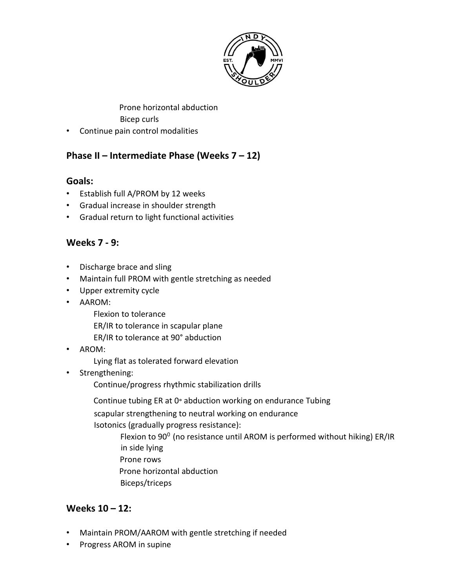

Prone horizontal abduction

Bicep curls

• Continue pain control modalities

# **Phase II – Intermediate Phase (Weeks 7 – 12)**

## **Goals:**

- Establish full A/PROM by 12 weeks
- Gradual increase in shoulder strength
- Gradual return to light functional activities

## **Weeks 7 - 9:**

- Discharge brace and sling
- Maintain full PROM with gentle stretching as needed
- Upper extremity cycle
- AAROM:
	- Flexion to tolerance
	- ER/IR to tolerance in scapular plane
	- ER/IR to tolerance at 90° abduction
- AROM:
	- Lying flat as tolerated forward elevation
- Strengthening:
	- Continue/progress rhythmic stabilization drills
	- Continue tubing ER at 0° abduction working on endurance Tubing
	- scapular strengthening to neutral working on endurance
	- Isotonics (gradually progress resistance):
		- Flexion to  $90^0$  (no resistance until AROM is performed without hiking) ER/IR in side lying
		- Prone rows
		- Prone horizontal abduction
		- Biceps/triceps

# **Weeks 10 – 12:**

- Maintain PROM/AAROM with gentle stretching if needed
- Progress AROM in supine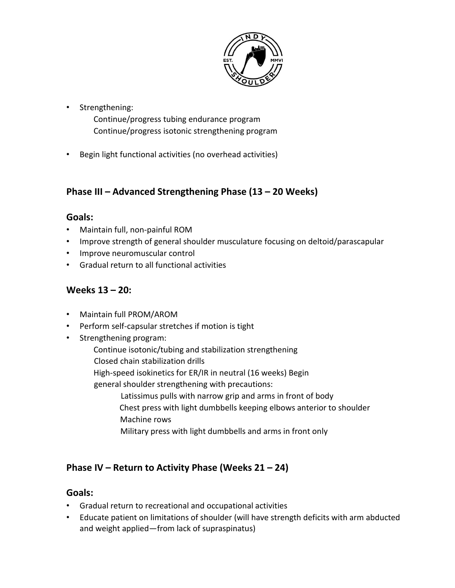

• Strengthening:

Continue/progress tubing endurance program Continue/progress isotonic strengthening program

• Begin light functional activities (no overhead activities)

# **Phase III – Advanced Strengthening Phase (13 – 20 Weeks)**

#### **Goals:**

- Maintain full, non-painful ROM
- Improve strength of general shoulder musculature focusing on deltoid/parascapular
- Improve neuromuscular control
- Gradual return to all functional activities

### **Weeks 13 – 20:**

- Maintain full PROM/AROM
- Perform self-capsular stretches if motion is tight
- Strengthening program:
	- Continue isotonic/tubing and stabilization strengthening
	- Closed chain stabilization drills
	- High-speed isokinetics for ER/IR in neutral (16 weeks) Begin
	- general shoulder strengthening with precautions:
		- Latissimus pulls with narrow grip and arms in front of body Chest press with light dumbbells keeping elbows anterior to shoulder Machine rows
		- Military press with light dumbbells and arms in front only

### **Phase IV – Return to Activity Phase (Weeks 21 – 24)**

#### **Goals:**

- Gradual return to recreational and occupational activities
- Educate patient on limitations of shoulder (will have strength deficits with arm abducted and weight applied—from lack of supraspinatus)